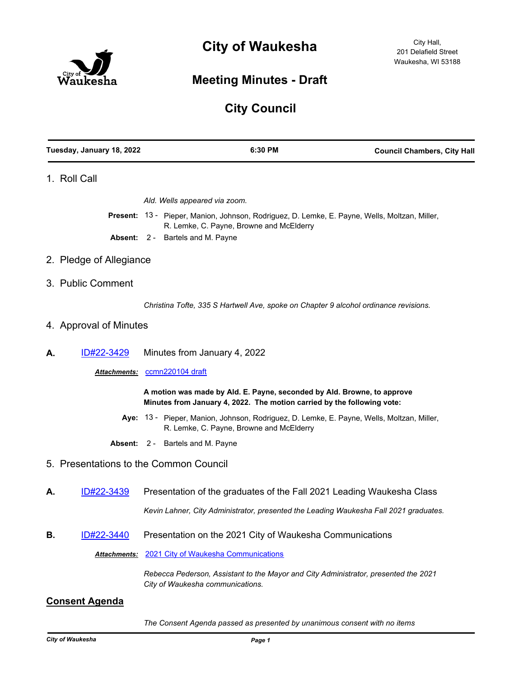



## **Meeting Minutes - Draft**

# **City Council**

| Tuesday, January 18, 2022 |                         | 6:30 PM                                                                                                                                            | <b>Council Chambers, City Hall</b> |
|---------------------------|-------------------------|----------------------------------------------------------------------------------------------------------------------------------------------------|------------------------------------|
|                           | 1. Roll Call            |                                                                                                                                                    |                                    |
|                           |                         | Ald. Wells appeared via zoom.                                                                                                                      |                                    |
|                           |                         | Present: 13 - Pieper, Manion, Johnson, Rodriguez, D. Lemke, E. Payne, Wells, Moltzan, Miller,                                                      |                                    |
|                           |                         | R. Lemke, C. Payne, Browne and McElderry<br><b>Absent: 2 - Bartels and M. Payne</b>                                                                |                                    |
|                           | 2. Pledge of Allegiance |                                                                                                                                                    |                                    |
|                           | 3. Public Comment       |                                                                                                                                                    |                                    |
|                           |                         | Christina Tofte, 335 S Hartwell Ave, spoke on Chapter 9 alcohol ordinance revisions.                                                               |                                    |
|                           | 4. Approval of Minutes  |                                                                                                                                                    |                                    |
| А.                        | ID#22-3429              | Minutes from January 4, 2022                                                                                                                       |                                    |
|                           |                         | Attachments: ccmn220104 draft                                                                                                                      |                                    |
|                           |                         | A motion was made by Ald. E. Payne, seconded by Ald. Browne, to approve<br>Minutes from January 4, 2022. The motion carried by the following vote: |                                    |
|                           |                         | Aye: 13 - Pieper, Manion, Johnson, Rodriguez, D. Lemke, E. Payne, Wells, Moltzan, Miller,<br>R. Lemke, C. Payne, Browne and McElderry              |                                    |
|                           |                         | <b>Absent: 2 - Bartels and M. Payne</b>                                                                                                            |                                    |

- 5. Presentations to the Common Council
- **A.** [ID#22-3439](http://waukesha.legistar.com/gateway.aspx?m=l&id=/matter.aspx?key=16387) Presentation of the graduates of the Fall 2021 Leading Waukesha Class

*Kevin Lahner, City Administrator, presented the Leading Waukesha Fall 2021 graduates.*

**B.** [ID#22-3440](http://waukesha.legistar.com/gateway.aspx?m=l&id=/matter.aspx?key=16388) Presentation on the 2021 City of Waukesha Communications

*Attachments:* [2021 City of Waukesha Communications](http://waukesha.legistar.com/gateway.aspx?M=F&ID=a3102deb-4eb3-4621-ac36-cc4a8d4293dd.pdf)

*Rebecca Pederson, Assistant to the Mayor and City Administrator, presented the 2021 City of Waukesha communications.*

### **Consent Agenda**

*The Consent Agenda passed as presented by unanimous consent with no items*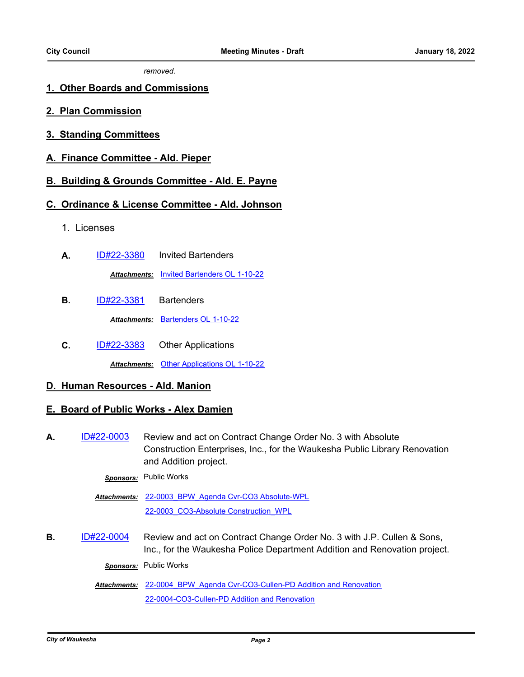*removed.*

### **1. Other Boards and Commissions**

- **2. Plan Commission**
- **3. Standing Committees**
- **A. Finance Committee Ald. Pieper**

### **B. Building & Grounds Committee - Ald. E. Payne**

### **C. Ordinance & License Committee - Ald. Johnson**

- 1. Licenses
- **A.** [ID#22-3380](http://waukesha.legistar.com/gateway.aspx?m=l&id=/matter.aspx?key=16322) Invited Bartenders *Attachments:* [Invited Bartenders OL 1-10-22](http://waukesha.legistar.com/gateway.aspx?M=F&ID=ff1f362a-2f4b-4261-9001-5e2fbc3665b8.pdf)
- **B.** [ID#22-3381](http://waukesha.legistar.com/gateway.aspx?m=l&id=/matter.aspx?key=16324) Bartenders *Attachments:* [Bartenders OL 1-10-22](http://waukesha.legistar.com/gateway.aspx?M=F&ID=335490f6-9414-4ef9-9095-f5adda83bee2.pdf)
- **C.** [ID#22-3383](http://waukesha.legistar.com/gateway.aspx?m=l&id=/matter.aspx?key=16326) Other Applications *Attachments:* [Other Applications OL 1-10-22](http://waukesha.legistar.com/gateway.aspx?M=F&ID=e8d2951a-8a78-4161-9e5a-3d59e38c3ce8.pdf)

## **D. Human Resources - Ald. Manion**

### **E. Board of Public Works - Alex Damien**

A. [ID#22-0003](http://waukesha.legistar.com/gateway.aspx?m=l&id=/matter.aspx?key=16290) Review and act on Contract Change Order No. 3 with Absolute Construction Enterprises, Inc., for the Waukesha Public Library Renovation and Addition project.

*Sponsors:* Public Works

Attachments: 22-0003 BPW Agenda Cvr-CO3 Absolute-WPL [22-0003\\_CO3-Absolute Construction\\_WPL](http://waukesha.legistar.com/gateway.aspx?M=F&ID=272ad424-60ea-4a74-a8b9-243d8b918e10.pdf)

**B.** [ID#22-0004](http://waukesha.legistar.com/gateway.aspx?m=l&id=/matter.aspx?key=16302) Review and act on Contract Change Order No. 3 with J.P. Cullen & Sons, Inc., for the Waukesha Police Department Addition and Renovation project.

*Sponsors:* Public Works

Attachments: 22-0004 BPW Agenda Cvr-CO3-Cullen-PD Addition and Renovation [22-0004-CO3-Cullen-PD Addition and Renovation](http://waukesha.legistar.com/gateway.aspx?M=F&ID=13c6e404-e2f0-4f0b-b0e6-9391182aafe5.pdf)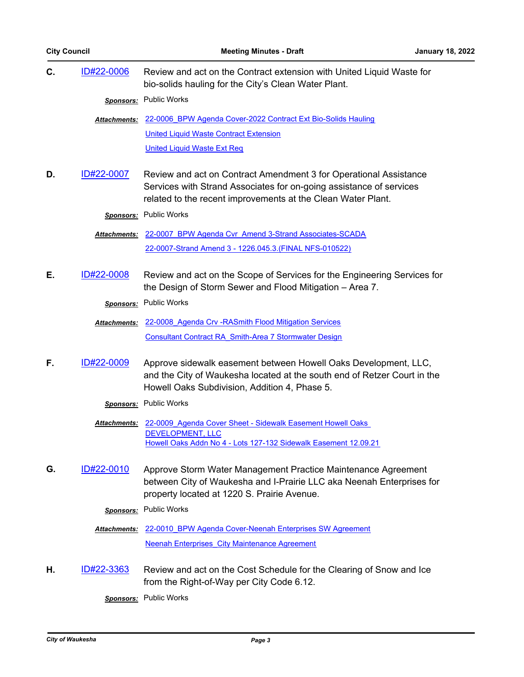| C. | ID#22-0006        | Review and act on the Contract extension with United Liquid Waste for<br>bio-solids hauling for the City's Clean Water Plant.                                                                |
|----|-------------------|----------------------------------------------------------------------------------------------------------------------------------------------------------------------------------------------|
|    |                   | Sponsors: Public Works                                                                                                                                                                       |
|    |                   | Attachments: 22-0006 BPW Agenda Cover-2022 Contract Ext Bio-Solids Hauling                                                                                                                   |
|    |                   | <b>United Liquid Waste Contract Extension</b>                                                                                                                                                |
|    |                   | <b>United Liquid Waste Ext Req</b>                                                                                                                                                           |
| D. | ID#22-0007        | Review and act on Contract Amendment 3 for Operational Assistance                                                                                                                            |
|    |                   | Services with Strand Associates for on-going assistance of services                                                                                                                          |
|    |                   | related to the recent improvements at the Clean Water Plant.                                                                                                                                 |
|    |                   | Sponsors: Public Works                                                                                                                                                                       |
|    |                   | Attachments: 22-0007 BPW Agenda Cvr Amend 3-Strand Associates-SCADA                                                                                                                          |
|    |                   | 22-0007-Strand Amend 3 - 1226.045.3. (FINAL NFS-010522)                                                                                                                                      |
|    |                   |                                                                                                                                                                                              |
| Е. | ID#22-0008        | Review and act on the Scope of Services for the Engineering Services for<br>the Design of Storm Sewer and Flood Mitigation - Area 7.                                                         |
|    |                   | Sponsors: Public Works                                                                                                                                                                       |
|    |                   |                                                                                                                                                                                              |
|    |                   | Attachments: 22-0008 Agenda Crv - RASmith Flood Mitigation Services                                                                                                                          |
|    |                   | Consultant Contract RA Smith-Area 7 Stormwater Design                                                                                                                                        |
| F. | ID#22-0009        | Approve sidewalk easement between Howell Oaks Development, LLC,<br>and the City of Waukesha located at the south end of Retzer Court in the<br>Howell Oaks Subdivision, Addition 4, Phase 5. |
|    |                   | Sponsors: Public Works                                                                                                                                                                       |
|    |                   |                                                                                                                                                                                              |
|    |                   | Attachments: 22-0009 Agenda Cover Sheet - Sidewalk Easement Howell Oaks<br><b>DEVELOPMENT, LLC</b>                                                                                           |
|    |                   | Howell Oaks Addn No 4 - Lots 127-132 Sidewalk Easement 12.09.21                                                                                                                              |
| G. | ID#22-0010        | Approve Storm Water Management Practice Maintenance Agreement                                                                                                                                |
|    |                   | between City of Waukesha and I-Prairie LLC aka Neenah Enterprises for                                                                                                                        |
|    |                   | property located at 1220 S. Prairie Avenue.                                                                                                                                                  |
|    |                   | Sponsors: Public Works                                                                                                                                                                       |
|    |                   | <b>Attachments: 22-0010 BPW Agenda Cover-Neenah Enterprises SW Agreement</b>                                                                                                                 |
|    |                   | Neenah Enterprises City Maintenance Agreement                                                                                                                                                |
|    |                   |                                                                                                                                                                                              |
| Η. | <u>ID#22-3363</u> | Review and act on the Cost Schedule for the Clearing of Snow and Ice                                                                                                                         |
|    |                   | from the Right-of-Way per City Code 6.12.                                                                                                                                                    |

*Sponsors:* Public Works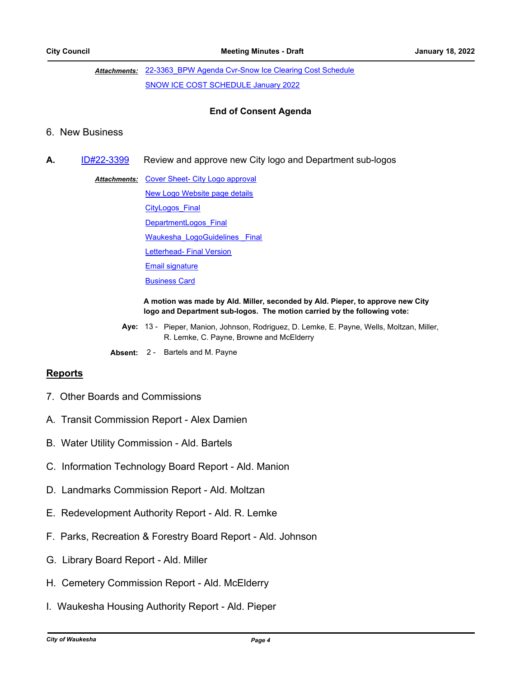Attachments: 22-3363 BPW Agenda Cvr-Snow Ice Clearing Cost Schedule [SNOW ICE COST SCHEDULE January 2022](http://waukesha.legistar.com/gateway.aspx?M=F&ID=41692ffc-f79e-4e3c-812f-9824bde6719f.pdf)

### **End of Consent Agenda**

### 6. New Business

- **A.** [ID#22-3399](http://waukesha.legistar.com/gateway.aspx?m=l&id=/matter.aspx?key=16341) Review and approve new City logo and Department sub-logos
	- Attachments: [Cover Sheet- City Logo approval](http://waukesha.legistar.com/gateway.aspx?M=F&ID=bd333bbe-c231-4e7b-8b42-55b6327bb6b1.pdf) [New Logo Website page details](http://waukesha.legistar.com/gateway.aspx?M=F&ID=e71a6d26-59b8-4031-b4b4-11f3e96a6b61.pdf) [CityLogos\\_Final](http://waukesha.legistar.com/gateway.aspx?M=F&ID=5b29432b-a8be-49d5-b69a-496f9a42619e.pdf) [DepartmentLogos\\_Final](http://waukesha.legistar.com/gateway.aspx?M=F&ID=08d3b205-3d99-4aa2-bbf4-271651f71809.pdf) Waukesha LogoGuidelines Final [Letterhead- Final Version](http://waukesha.legistar.com/gateway.aspx?M=F&ID=a5a8149d-1458-49f7-8bee-574891bcd395.pdf) [Email signature](http://waukesha.legistar.com/gateway.aspx?M=F&ID=2335aec2-2008-4d0a-9b8e-d33d9ac64b5b.pdf) [Business Card](http://waukesha.legistar.com/gateway.aspx?M=F&ID=36f6d0a0-02de-4c6b-b2bf-c6a87b01a610.pdf)

**A motion was made by Ald. Miller, seconded by Ald. Pieper, to approve new City logo and Department sub-logos. The motion carried by the following vote:**

- Aye: 13 Pieper, Manion, Johnson, Rodriguez, D. Lemke, E. Payne, Wells, Moltzan, Miller, R. Lemke, C. Payne, Browne and McElderry
- **Absent:** 2 Bartels and M. Payne

### **Reports**

- 7. Other Boards and Commissions
- A. Transit Commission Report Alex Damien
- B. Water Utility Commission Ald. Bartels
- C. Information Technology Board Report Ald. Manion
- D. Landmarks Commission Report Ald. Moltzan
- E. Redevelopment Authority Report Ald. R. Lemke
- F. Parks, Recreation & Forestry Board Report Ald. Johnson
- G. Library Board Report Ald. Miller
- H. Cemetery Commission Report Ald. McElderry
- I. Waukesha Housing Authority Report Ald. Pieper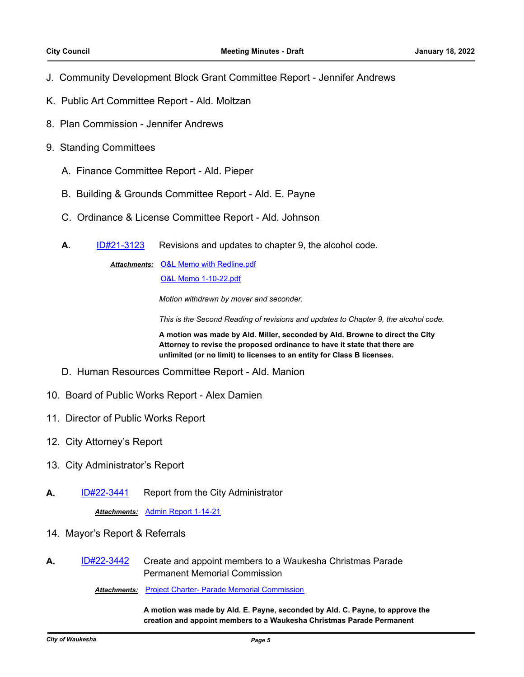- J. Community Development Block Grant Committee Report Jennifer Andrews
- K. Public Art Committee Report Ald. Moltzan
- 8. Plan Commission Jennifer Andrews
- 9. Standing Committees
	- A. Finance Committee Report Ald. Pieper
	- B. Building & Grounds Committee Report Ald. E. Payne
	- C. Ordinance & License Committee Report Ald. Johnson
	- **A.** [ID#21-3123](http://waukesha.legistar.com/gateway.aspx?m=l&id=/matter.aspx?key=16098) Revisions and updates to chapter 9, the alcohol code.

Attachments: [O&L Memo with Redline.pdf](http://waukesha.legistar.com/gateway.aspx?M=F&ID=3c8f61b6-3b51-4906-9a32-013774ce941e.pdf) [O&L Memo 1-10-22.pdf](http://waukesha.legistar.com/gateway.aspx?M=F&ID=9ce82eb3-fdf1-4c6c-9b2a-b503f9d32f27.pdf)

*Motion withdrawn by mover and seconder.* 

*This is the Second Reading of revisions and updates to Chapter 9, the alcohol code.*

**A motion was made by Ald. Miller, seconded by Ald. Browne to direct the City Attorney to revise the proposed ordinance to have it state that there are unlimited (or no limit) to licenses to an entity for Class B licenses.**

- D. Human Resources Committee Report Ald. Manion
- 10. Board of Public Works Report Alex Damien
- 11. Director of Public Works Report
- 12. City Attorney's Report
- 13. City Administrator's Report
- **A.** [ID#22-3441](http://waukesha.legistar.com/gateway.aspx?m=l&id=/matter.aspx?key=16389) Report from the City Administrator

*Attachments:* [Admin Report 1-14-21](http://waukesha.legistar.com/gateway.aspx?M=F&ID=1ef2029d-f3d6-4dcf-9522-dcb0ba7a95b9.pdf)

- 14. Mayor's Report & Referrals
- **A.** [ID#22-3442](http://waukesha.legistar.com/gateway.aspx?m=l&id=/matter.aspx?key=16390) Create and appoint members to a Waukesha Christmas Parade Permanent Memorial Commission

*Attachments:* [Project Charter- Parade Memorial Commission](http://waukesha.legistar.com/gateway.aspx?M=F&ID=2cd880b5-565b-4c99-9b73-11005fbb4872.pdf)

**A motion was made by Ald. E. Payne, seconded by Ald. C. Payne, to approve the creation and appoint members to a Waukesha Christmas Parade Permanent**